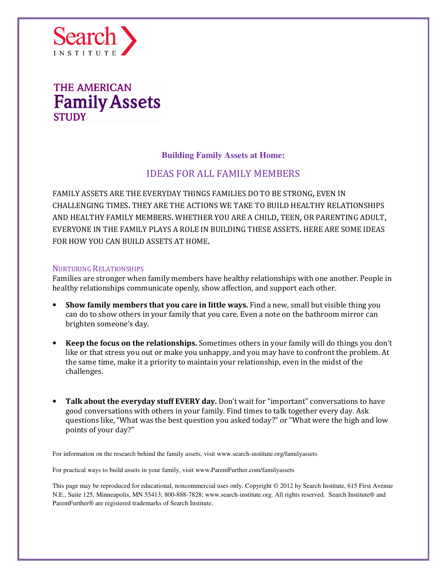

### **Building Family Assets at Home:**

### IDEAS FOR ALL FAMILY MEMBERS

FAMILY ASSETS ARE THE EVERYDAY THINGS FAMILIES DO TO BE STRONG, EVEN IN CHALLENGING TIMES. THEY ARE THE ACTIONS WE TAKE TO BUILD HEALTHY RELATIONSHIPS AND HEALTHY FAMILY MEMBERS. WHETHER YOU ARE A CHILD, TEEN, OR PARENTING ADULT, EVERYONE IN THE FAMILY PLAYS A ROLE IN BUILDING THESE ASSETS. HERE ARE SOME IDEAS FOR HOW YOU CAN BUILD ASSETS AT HOME.

#### NURTURING RELATIONSHIPS

Families are stronger when family members have healthy relationships with one another. People in healthy relationships communicate openly, show affection, and support each other.

- Show family members that you care in little ways. Find a new, small but visible thing you can do to show others in your family that you care. Even a note on the bathroom mirror can brighten someone's day.
- Keep the focus on the relationships. Sometimes others in your family will do things you don't like or that stress you out or make you unhappy, and you may have to confront the problem. At the same time, make it a priority to maintain your relationship, even in the midst of the challenges.
- Talk about the everyday stuff EVERY day. Don't wait for "important" conversations to have good conversations with others in your family. Find times to talk together every day. Ask questions like, "What was the best question you asked today?" or "What were the high and low points of your day?"

For information on the research behind the family assets, visit www.search-institute.org/familyassets

For practical ways to build assets in your family, visit www.ParentFurther.com/familyassets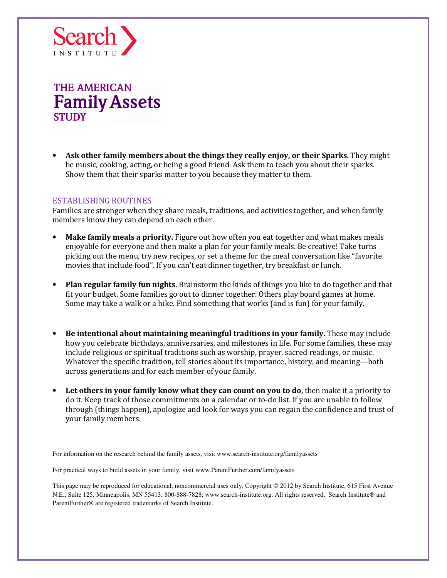

• Ask other family members about the things they really enjoy, or their Sparks. They might be music, cooking, acting, or being a good friend. Ask them to teach you about their sparks. Show them that their sparks matter to you because they matter to them.

#### ESTABLISHING ROUTINES

Families are stronger when they share meals, traditions, and activities together, and when family members know they can depend on each other.

- **Make family meals a priority.** Figure out how often you eat together and what makes meals enjoyable for everyone and then make a plan for your family meals. Be creative! Take turns picking out the menu, try new recipes, or set a theme for the meal conversation like "favorite movies that include food". If you can't eat dinner together, try breakfast or lunch.
- Plan regular family fun nights. Brainstorm the kinds of things you like to do together and that fit your budget. Some families go out to dinner together. Others play board games at home. Some may take a walk or a hike. Find something that works (and is fun) for your family.
- Be intentional about maintaining meaningful traditions in your family. These may include how you celebrate birthdays, anniversaries, and milestones in life. For some families, these may include religious or spiritual traditions such as worship, prayer, sacred readings, or music. Whatever the specific tradition, tell stories about its importance, history, and meaning—both across generations and for each member of your family.
- Let others in your family know what they can count on you to do, then make it a priority to do it. Keep track of those commitments on a calendar or to-do list. If you are unable to follow through (things happen), apologize and look for ways you can regain the confidence and trust of your family members.

For information on the research behind the family assets, visit www.search-institute.org/familyassets

For practical ways to build assets in your family, visit www.ParentFurther.com/familyassets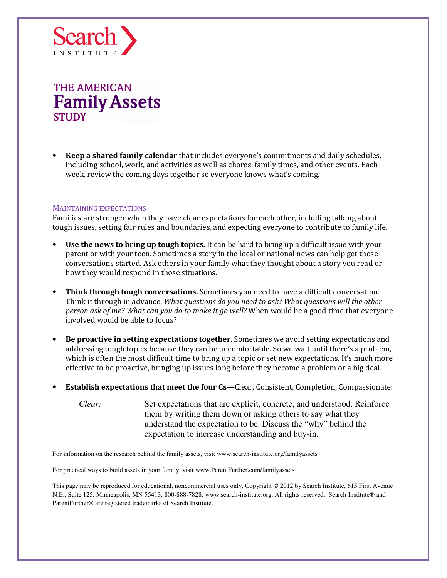

**Keep a shared family calendar** that includes everyone's commitments and daily schedules, including school, work, and activities as well as chores, family times, and other events. Each week, review the coming days together so everyone knows what's coming.

#### MAINTAINING EXPECTATIONS

Families are stronger when they have clear expectations for each other, including talking about tough issues, setting fair rules and boundaries, and expecting everyone to contribute to family life.

- Use the news to bring up tough topics. It can be hard to bring up a difficult issue with your parent or with your teen. Sometimes a story in the local or national news can help get those conversations started. Ask others in your family what they thought about a story you read or how they would respond in those situations.
- Think through tough conversations. Sometimes you need to have a difficult conversation. Think it through in advance. What questions do you need to ask? What questions will the other person ask of me? What can you do to make it go well? When would be a good time that everyone involved would be able to focus?
- Be proactive in setting expectations together. Sometimes we avoid setting expectations and addressing tough topics because they can be uncomfortable. So we wait until there's a problem, which is often the most difficult time to bring up a topic or set new expectations. It's much more effective to be proactive, bringing up issues long before they become a problem or a big deal.
- **Establish expectations that meet the four Cs—Clear, Consistent, Completion, Compassionate:** 
	- *Clear:* Set expectations that are explicit, concrete, and understood. Reinforce them by writing them down or asking others to say what they understand the expectation to be. Discuss the "why" behind the expectation to increase understanding and buy-in.

For information on the research behind the family assets, visit www.search-institute.org/familyassets

For practical ways to build assets in your family, visit www.ParentFurther.com/familyassets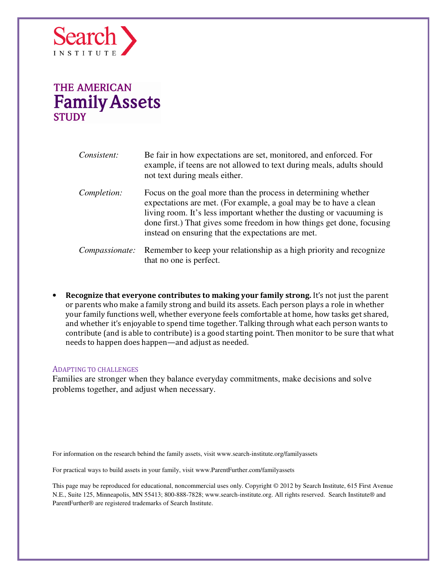

| Consistent:           | Be fair in how expectations are set, monitored, and enforced. For<br>example, if teens are not allowed to text during meals, adults should<br>not text during meals either.                                                                                                                                                                |
|-----------------------|--------------------------------------------------------------------------------------------------------------------------------------------------------------------------------------------------------------------------------------------------------------------------------------------------------------------------------------------|
| Completion:           | Focus on the goal more than the process in determining whether<br>expectations are met. (For example, a goal may be to have a clean<br>living room. It's less important whether the dusting or vacuuming is<br>done first.) That gives some freedom in how things get done, focusing<br>instead on ensuring that the expectations are met. |
| <i>Compassionate:</i> | Remember to keep your relationship as a high priority and recognize<br>that no one is perfect.                                                                                                                                                                                                                                             |

• Recognize that everyone contributes to making your family strong. It's not just the parent or parents who make a family strong and build its assets. Each person plays a role in whether your family functions well, whether everyone feels comfortable at home, how tasks get shared, and whether it's enjoyable to spend time together. Talking through what each person wants to contribute (and is able to contribute) is a good starting point. Then monitor to be sure that what needs to happen does happen—and adjust as needed.

#### ADAPTING TO CHALLENGES

Families are stronger when they balance everyday commitments, make decisions and solve problems together, and adjust when necessary.

For information on the research behind the family assets, visit www.search-institute.org/familyassets

For practical ways to build assets in your family, visit www.ParentFurther.com/familyassets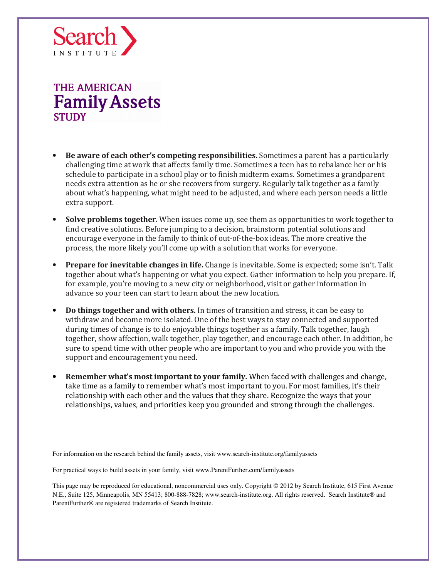

- Be aware of each other's competing responsibilities. Sometimes a parent has a particularly challenging time at work that affects family time. Sometimes a teen has to rebalance her or his schedule to participate in a school play or to finish midterm exams. Sometimes a grandparent needs extra attention as he or she recovers from surgery. Regularly talk together as a family about what's happening, what might need to be adjusted, and where each person needs a little extra support.
- **Solve problems together.** When issues come up, see them as opportunities to work together to find creative solutions. Before jumping to a decision, brainstorm potential solutions and encourage everyone in the family to think of out-of-the-box ideas. The more creative the process, the more likely you'll come up with a solution that works for everyone.
- Prepare for inevitable changes in life. Change is inevitable. Some is expected; some isn't. Talk together about what's happening or what you expect. Gather information to help you prepare. If, for example, you're moving to a new city or neighborhood, visit or gather information in advance so your teen can start to learn about the new location.
- Do things together and with others. In times of transition and stress, it can be easy to withdraw and become more isolated. One of the best ways to stay connected and supported during times of change is to do enjoyable things together as a family. Talk together, laugh together, show affection, walk together, play together, and encourage each other. In addition, be sure to spend time with other people who are important to you and who provide you with the support and encouragement you need.
- Remember what's most important to your family. When faced with challenges and change, take time as a family to remember what's most important to you. For most families, it's their relationship with each other and the values that they share. Recognize the ways that your relationships, values, and priorities keep you grounded and strong through the challenges.

For information on the research behind the family assets, visit www.search-institute.org/familyassets

For practical ways to build assets in your family, visit www.ParentFurther.com/familyassets